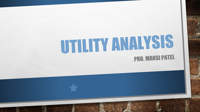# UTILITY ANALYSIS PRO. MANSI PATEL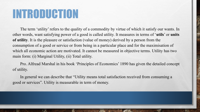### INTRODUCTION

The term 'utility' refers to the quality of a commodity by virtue of which it satisfy our wants. In other words, want satisfying power of a good is called utility. It measures in terms of '**utils**' or **units of utility**. It is the pleasure or satisfaction (value of money) derived by a person from the consumption of a good or service or from being in a particular place and for the maximisation of which all economic action are motivated. It cannot be measured in objective terms. Utility has two main form: (i) Marginal Utility, (ii) Total utility.

Pro. Alfread Marshal in his book 'Principles of Economics' 1890 has given the detailed concept of utility.

In general we can describe that "Utility means total satisfaction received from consuming a good or services". Utility is measurable in term of money.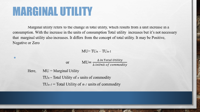### MARGINAL UTILITY

•

 $H$ 

Marginal utility refers to the change in total utility, which results from a unit increase in a consumption. With the increase in the units of consumption Total utility increases but it's not necessary that marginal utility also increases. It differs from the concept of total utility. It may be Positive, Negative or Zero

#### $MU = TUn - TUn-1$

|      | $\text{MU} = \frac{\Delta \text{ in Total Utility}}{\Delta \text{ inUnit of commodity}}$<br><b>or</b> |  |  |
|------|-------------------------------------------------------------------------------------------------------|--|--|
|      |                                                                                                       |  |  |
| ere, | $MU = Marginal Utility$                                                                               |  |  |
|      | $TU_n = Total Utility of n$ units of commodity                                                        |  |  |
|      | $TU_{n-1}$ = Total Utility of <i>n</i> - <i>i</i> units of commodity                                  |  |  |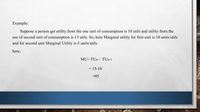Example:

Suppose a person get utility from the one unit of consumption is 10 utils and utility from the use of second unit of consumption is 15 utils. So, here Marginal utility for first unit is 10 units/utils and for second unit Marginal Utility is 5 units/utils.

here,

 $\mathbb{Z}$ 

 $MU= TUn-TUn-1$ 

 $= 15 - 10$  $=05$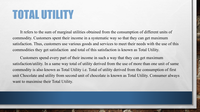## TOTAL UTILITY

It refers to the sum of marginal utilities obtained from the consumption of different units of commodity. Customers spent their income in a systematic way so that they can get maximum satisfaction. Thus, customers use various goods and services to meet their needs with the use of this commodities they get satisfaction and total of this satisfaction is known as Total Utility.

Customers spend every part of their income in such a way that they can get maximum satisfaction/utility. In a same way total of utility derived from the use of more than one unit of same commodity is also known as Total Utility i.e. Total of utility derived from the consumption of first unit Chocolate and utility from second unit of chocolate is known as Total Utility. Consumer always want to maximise their Total Utility.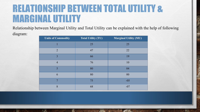### RELATIONSHIP BETWEEN TOTAL UTILITY & MARGINAL UTILITY

Relationship between Marginal Utility and Total Utility can be explained with the help of following diagram:

| <b>Units of Commodity</b> | <b>Total Utility (TU)</b> | <b>Marginal Utility (MU)</b> |
|---------------------------|---------------------------|------------------------------|
|                           | 25                        | 25                           |
| $\overline{2}$            | 47                        | 22                           |
| 3                         | 66                        | 19                           |
| $\overline{4}$            | 76                        | 10                           |
| 5                         | 80                        | 04                           |
| 6                         | 80                        | 00                           |
| 7                         | 75                        | $-05$                        |
| 8                         | 68                        | $-07$                        |

 $\mathcal{L}_{\alpha}$ 

 $\frac{1}{2}$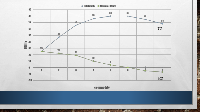$\div$  Total utility  $\cdot$  Maryinal Utility



commodity

A PARTIES AND CONTROL

 $L_{\rm{B}}$ 

egy a

**RESERVED** 

**STERN**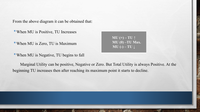From the above diagram it can be obtained that:

- •When MU is Positive, TU Increases
- •When MU is Zero, TU is Maximum

**MU (+) – TU ↑ MU (0) –TU Max. MU (-) – TU ↓** 

• When MU is Negative, TU begins to fall

Marginal Utility can be positive, Negative or Zero. But Total Utility is always Positive. At the beginning TU increases then after reaching its maximum point it starts to decline.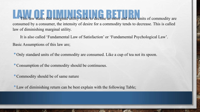This law states that marginal utility tends to decline as more and more units of commodity are consumed by a consumer, the intensity of desire for a commodity tends to decrease. This is called law of diminishing marginal utility.

It is also called 'Fundamental Law of Satisfaction' or 'Fundamental Psychological Law'. Basic Assumptions of this law are;

•Only standard units of the commodity are consumed. Like a cup of tea not its spoon.

•Consumption of the commodity should be continuous.

•Commodity should be of same nature

•Law of diminishing return can be best explain with the following Table;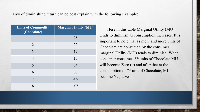Law of diminishing return can be best explain with the following Example;

| <b>Units of Commodity</b><br>(Chocolate) | <b>Marginal Utility (MU)</b> |
|------------------------------------------|------------------------------|
|                                          | 25                           |
| 2                                        | 22                           |
| 3                                        | 19                           |
| $\overline{4}$                           | 10                           |
| 5                                        | 04                           |
| 6                                        | 00                           |
| $\overline{7}$                           | $-05$                        |
| 8                                        | $-07$                        |

Here in this table Marginal Utility (MU) tends to diminish as consumption increases. It is important to note that as more and more units of Chocolate are consumed by the consumer, marginal Utility (MU) tends to diminish. When consumer consumes  $6<sup>th</sup>$  units of Chocolate MU will become Zero (0) and after that at the consumption of  $7<sup>th</sup>$  unit of Chocolate, MU become Negative